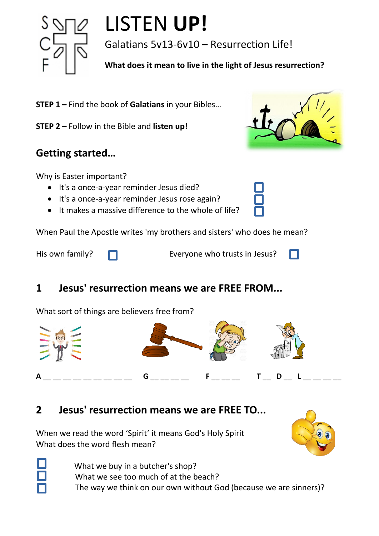

# LISTEN **UP!**

Galatians 5v13-6v10 – Resurrection Life!

**What does it mean to live in the light of Jesus resurrection?**

- **STEP 1 –** Find the book of **Galatians** in your Bibles…
- **STEP 2 –** Follow in the Bible and **listen up**!

#### **Getting started…**

Why is Easter important?

- It's a once-a-year reminder Jesus died?
- It's a once-a-year reminder Jesus rose again?
- It makes a massive difference to the whole of life?

When Paul the Apostle writes 'my brothers and sisters' who does he mean?

His own family?  $\Box$  Everyone who trusts in Jesus?

## **1 Jesus' resurrection means we are FREE FROM...**

What sort of things are believers free from?



#### **2 Jesus' resurrection means we are FREE TO...**

When we read the word 'Spirit' it means God's Holy Spirit What does the word flesh mean?



- 
- What we buy in a butcher's shop? What we see too much of at the beach? The way we think on our own without God (because we are sinners)?



П